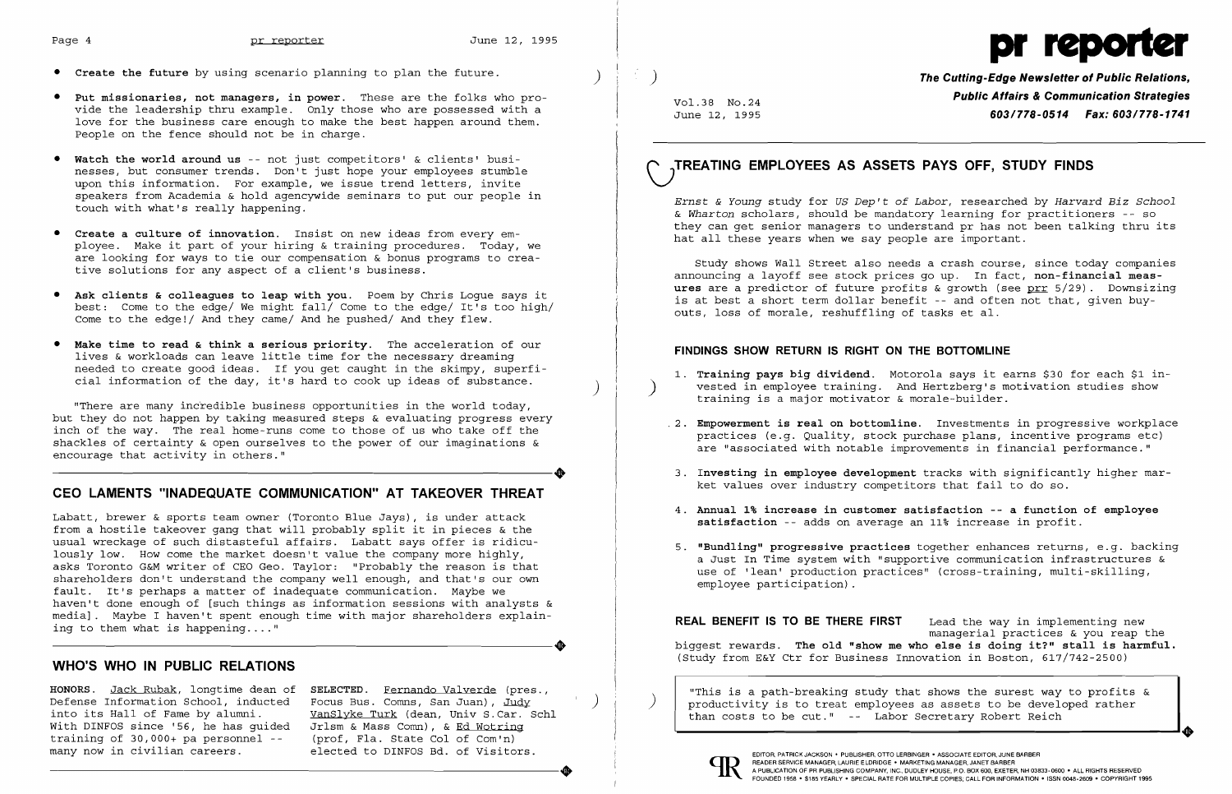

- **• Create the future** by using scenario planning to plan the future. )
- **• Put missionaries, not managers, in power.** These are the folks who provide the leadership thru example. Only those who are possessed with a love for the business care enough to make the best happen around them. People on the fence should not be in charge.
- **• Watch the world around us** -- not just competitors' & clients' businesses, but consumer trends. Don't just hope your employees stumble upon this information. For example, we issue trend letters, invite speakers from Academia & hold agencywide seminars to put our people in touch with what's really happening.
- **• Create a culture of innovation.** Insist on new ideas from every employee. Make it part of your hiring & training procedures. Today, we are looking for ways to tie our compensation & bonus programs to creative solutions for any aspect of a client's business.
- **• Ask clients & colleagues to leap with** you. Poem by Chris Logue says it best: Come to the edge/ We might fall/ Come to the edge/ It's too high/ Come to the edge!/ And they came/ And he pushed/ And they flew.
- **• Make time to read & think a serious priority.** The acceleration of our lives & workloads can leave little time for the necessary dreaming needed to create good ideas. If you get caught in the skimpy, superficial information of the day, it's hard to cook up ideas of substance.

Labatt, brewer & sports team owner (Toronto Blue Jays), is under attack from a hostile takeover gang that will probably split it in pieces & the usual wreckage of such distasteful affairs. Labatt says offer is ridiculously low. How come the market doesn't value the company more highly, asks Toronto G&M writer of CEO Geo. Taylor: "Probably the reason is that shareholders don't understand the company well enough, and that's our own fault. It's perhaps a matter of inadequate communication. Maybe we haven't done enough of [such things as information sessions with analysts & media]. Maybe I haven't spent enough time with major shareholders explain-----------------------+ ing to them what is happening...."

"There are many incredible business opportunities in the world today, but they do not happen by taking measured steps & evaluating progress every inch of the way. The real home-runs come to those of us who take off the shackles of certainty & open ourselves to the power of our imaginations & encourage that activity in others." encourage that activity in others."

# **CEO LAMENTS "INADEQUATE COMMUNICATION" AT TAKEOVER THREAT**

5. **"Bundling" progressive practices** together enhances returns, e.g. backing a Just In Time system with "supportive communication infrastructures & use of 'lean' production practices" (cross-training, multi-skilling,

**HONORS.** Jack Rubak, longtime dean of **SELECTED.** Fernando Valverde (pres., "This is a path-breaking study that shows the surest way to profits & Defense Information School, inducted Focus Bus. Comns, San Juan), <u>Judy Jules Jules Jules and productivity</u> is to treat employees as assets to be developed rather<br>into its Hall of Fame by alumni. WanSlyke Turk (dean, Univ



# **WHO'S WHO IN PUBLIC RELATIONS**

) **The Cutting-Edge Newsletter of Public Relations, Public Affairs & Communication Strategies** Vo1.38 No.24 June 12, 1995 **603/778-0514 Fax: 603/778-1741** 

1. **Training pays big dividend**. Motorola says it earns \$30 for each \$1 invested in employee training. And Hertzberg's motivation studies show

into its Hall of Fame by alumni. Wanslyke Turk (dean, Univ S.Car. Schl Nimel Man costs to be cut." -- Labor Secretary Robert Reich With DINFOS since '56, he has quided Urlsm & Mass Comn), & <u>Ed Wotrinq</u> With DINFOS since '56, he has guided Jrlsm & Mass Comn), & <u>Ed Wotring</u><br>training of 30,000+ pa personnel -- (prof, Fla. State Col of Com'n) many now in civilian careers. elected to DINFOS Bd. of Visitors.<br>many now in civilian careers. elected to DINFOS Bd. of Visitors. ----------------------+ A PUBLICATION OF PR PUBLISHING COMPANY. INC.. DUDLEY HOUSE. P.O. BOX 600, EXETER, NH 03833-0600 • ALL RIGHTS RESERVED

# **\JTREATING EMPLOYEES AS ASSETS PAYS OFF, STUDY FINDS**

*Ernst* & *Young* study for *US Dep't of Labor,* researched by *Harvard Biz School & Wharton* scholars, should be mandatory learning for practitioners -- so they can get senior managers to understand pr has not been talking thru its hat all these years when we say people are important.

Study shows Wall Street also needs a crash course, since today companies announcing a layoff see stock prices go up. In fact, **non-financial measures** are a predictor of future profits & growth (see prr 5/29). Downsizing is at best a short term dollar benefit -- and often not that, given buyouts, loss of morale, reshuffling of tasks et al.

### **FINDINGS SHOW RETURN IS RIGHT ON THE BOTTOMLINE**

.2. **Empowerment is real on bottomline.** Investments in progressive workplace practices (e.g. Quality, stock purchase plans, incentive programs etc) are "associated with notable improvements in financial performance."

3. **Investing in employee development** tracks with significantly higher mar-

- training is a major motivator & morale-builder.
- 
- ket values over industry competitors that fail to do so.
- **satisfaction** -- adds on average an 11% increase in profit.
- employee participation) .

4. **Annual 1% increase in customer satisfaction -- a function of employee** 

**REAL BENEFIT IS TO BE THERE FIRST** Lead the way in implementing new managerial practices & you reap the biggest rewards. **The old "show me who else is doing it?" stall is harmful.**  (Study from E&Y Ctr for Business Innovation in Boston, 617/742-2500)